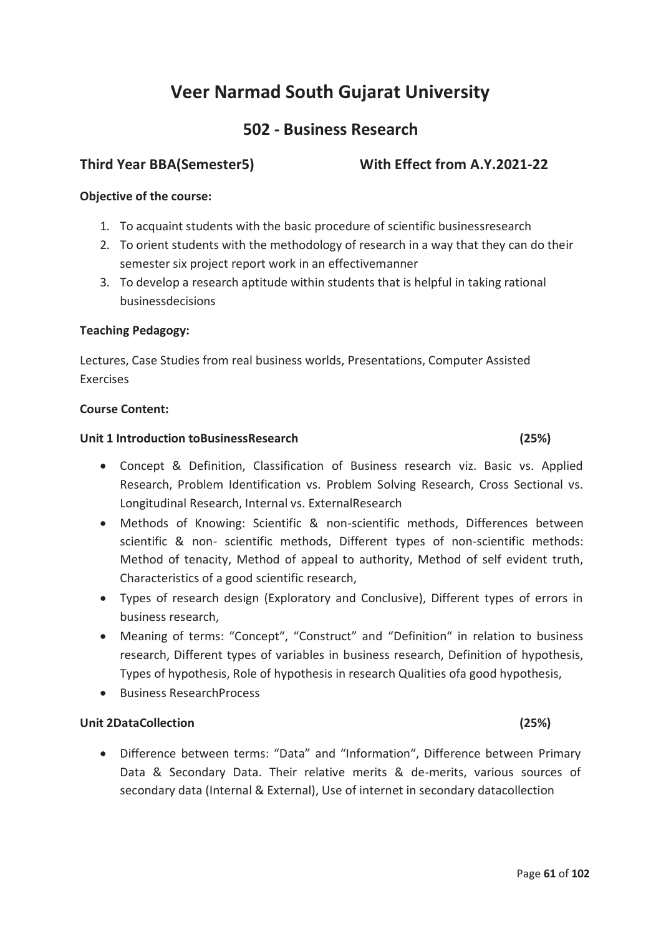# **502 - Business Research**

# **Third Year BBA(Semester5) With Effect from A.Y.2021-22**

# **Objective of the course:**

- 1. To acquaint students with the basic procedure of scientific businessresearch
- 2. To orient students with the methodology of research in a way that they can do their semester six project report work in an effectivemanner
- 3. To develop a research aptitude within students that is helpful in taking rational businessdecisions

## **Teaching Pedagogy:**

Lectures, Case Studies from real business worlds, Presentations, Computer Assisted Exercises

## **Course Content:**

## **Unit 1 Introduction toBusinessResearch (25%)**

# · Concept & Definition, Classification of Business research viz. Basic vs. Applied Research, Problem Identification vs. Problem Solving Research, Cross Sectional vs. Longitudinal Research, Internal vs. ExternalResearch

- · Methods of Knowing: Scientific & non-scientific methods, Differences between scientific & non- scientific methods, Different types of non-scientific methods: Method of tenacity, Method of appeal to authority, Method of self evident truth, Characteristics of a good scientific research,
- · Types of research design (Exploratory and Conclusive), Different types of errors in business research,
- · Meaning of terms: "Concept", "Construct" and "Definition" in relation to business research, Different types of variables in business research, Definition of hypothesis, Types of hypothesis, Role of hypothesis in research Qualities ofa good hypothesis,
- · Business ResearchProcess

# **Unit 2DataCollection (25%)**

· Difference between terms: "Data" and "Information", Difference between Primary Data & Secondary Data. Their relative merits & de-merits, various sources of secondary data (Internal & External), Use of internet in secondary datacollection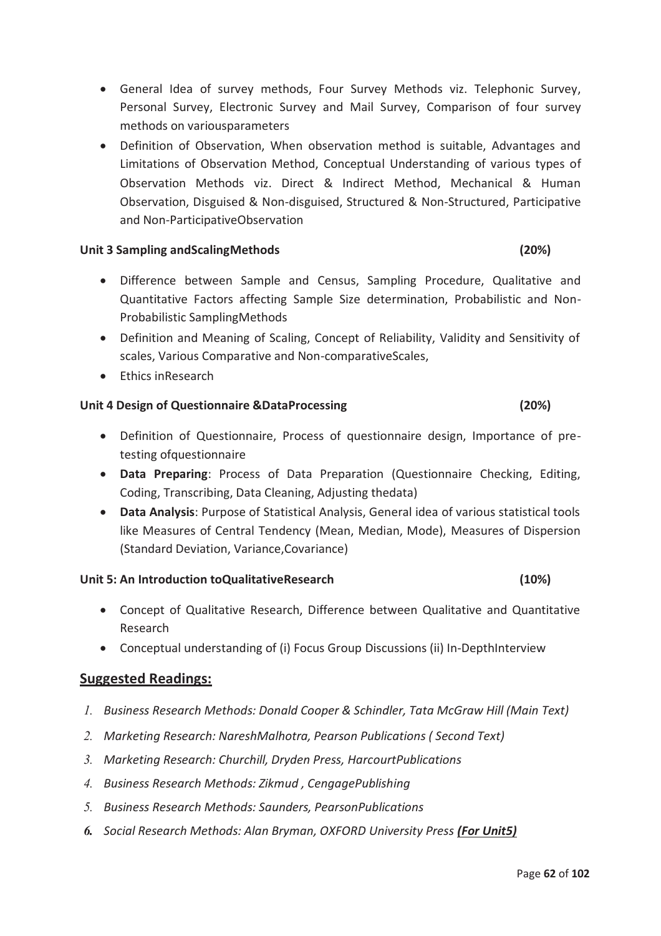- · General Idea of survey methods, Four Survey Methods viz. Telephonic Survey, Personal Survey, Electronic Survey and Mail Survey, Comparison of four survey methods on variousparameters
- · Definition of Observation, When observation method is suitable, Advantages and Limitations of Observation Method, Conceptual Understanding of various types of Observation Methods viz. Direct & Indirect Method, Mechanical & Human Observation, Disguised & Non-disguised, Structured & Non-Structured, Participative and Non-ParticipativeObservation

## **Unit 3 Sampling andScalingMethods (20%)**

- · Difference between Sample and Census, Sampling Procedure, Qualitative and Quantitative Factors affecting Sample Size determination, Probabilistic and Non-Probabilistic SamplingMethods
- · Definition and Meaning of Scaling, Concept of Reliability, Validity and Sensitivity of scales, Various Comparative and Non-comparativeScales,
- Fthics inResearch

### **Unit 4 Design of Questionnaire &DataProcessing (20%)**

- · Definition of Questionnaire, Process of questionnaire design, Importance of pretesting ofquestionnaire
- · **Data Preparing**: Process of Data Preparation (Questionnaire Checking, Editing, Coding, Transcribing, Data Cleaning, Adjusting thedata)
- · **Data Analysis**: Purpose of Statistical Analysis, General idea of various statistical tools like Measures of Central Tendency (Mean, Median, Mode), Measures of Dispersion (Standard Deviation, Variance,Covariance)

### **Unit 5: An Introduction toQualitativeResearch (10%)**

- · Concept of Qualitative Research, Difference between Qualitative and Quantitative Research
- · Conceptual understanding of (i) Focus Group Discussions (ii) In-DepthInterview

- *1. Business Research Methods: Donald Cooper & Schindler, Tata McGraw Hill (Main Text)*
- *2. Marketing Research: NareshMalhotra, Pearson Publications ( Second Text)*
- *3. Marketing Research: Churchill, Dryden Press, HarcourtPublications*
- *4. Business Research Methods: Zikmud , CengagePublishing*
- *5. Business Research Methods: Saunders, PearsonPublications*
- *6. Social Research Methods: Alan Bryman, OXFORD University Press (For Unit5)*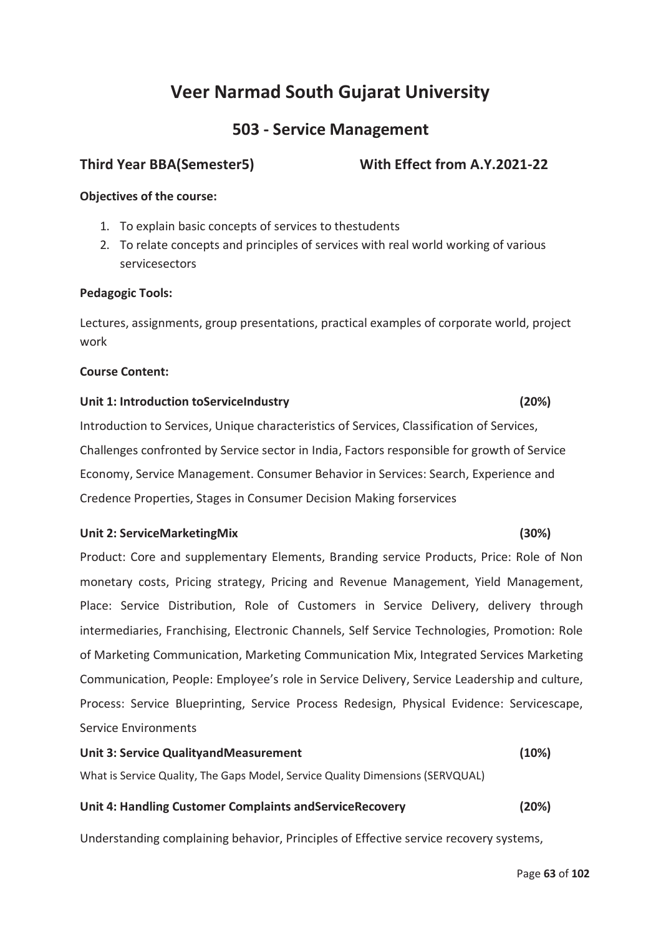# **503 - Service Management**

# **Third Year BBA(Semester5) With Effect from A.Y.2021-22**

# **Objectives of the course:**

- 1. To explain basic concepts of services to thestudents
- 2. To relate concepts and principles of services with real world working of various servicesectors

## **Pedagogic Tools:**

Lectures, assignments, group presentations, practical examples of corporate world, project work

### **Course Content:**

## **Unit 1: Introduction toServiceIndustry (20%)**

Introduction to Services, Unique characteristics of Services, Classification of Services, Challenges confronted by Service sector in India, Factors responsible for growth of Service Economy, Service Management. Consumer Behavior in Services: Search, Experience and Credence Properties, Stages in Consumer Decision Making forservices

## **Unit 2: ServiceMarketingMix (30%)**

Product: Core and supplementary Elements, Branding service Products, Price: Role of Non monetary costs, Pricing strategy, Pricing and Revenue Management, Yield Management, Place: Service Distribution, Role of Customers in Service Delivery, delivery through intermediaries, Franchising, Electronic Channels, Self Service Technologies, Promotion: Role of Marketing Communication, Marketing Communication Mix, Integrated Services Marketing Communication, People: Employee's role in Service Delivery, Service Leadership and culture, Process: Service Blueprinting, Service Process Redesign, Physical Evidence: Servicescape, Service Environments

# **Unit 3: Service QualityandMeasurement (10%)**

What is Service Quality, The Gaps Model, Service Quality Dimensions (SERVQUAL)

## **Unit 4: Handling Customer Complaints andServiceRecovery (20%)**

Understanding complaining behavior, Principles of Effective service recovery systems,

#### Page **63** of **102**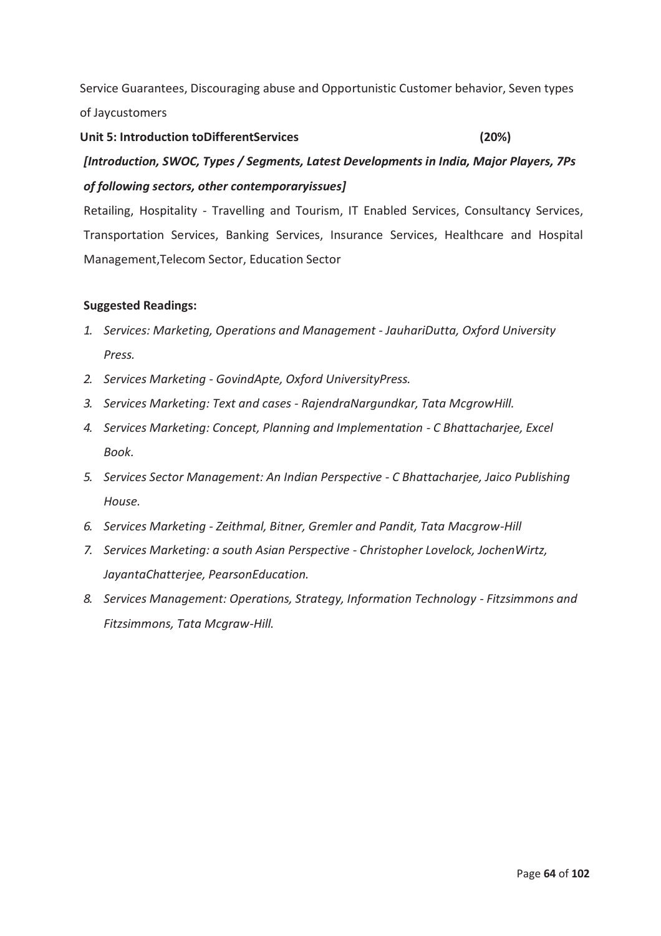Service Guarantees, Discouraging abuse and Opportunistic Customer behavior, Seven types of Jaycustomers

# **Unit 5: Introduction toDifferentServices (20%)**  *[Introduction, SWOC, Types / Segments, Latest Developments in India, Major Players, 7Ps of following sectors, other contemporaryissues]*

Retailing, Hospitality - Travelling and Tourism, IT Enabled Services, Consultancy Services, Transportation Services, Banking Services, Insurance Services, Healthcare and Hospital Management,Telecom Sector, Education Sector

- *1. Services: Marketing, Operations and Management JauhariDutta, Oxford University Press.*
- *2. Services Marketing GovindApte, Oxford UniversityPress.*
- *3. Services Marketing: Text and cases RajendraNargundkar, Tata McgrowHill.*
- *4. Services Marketing: Concept, Planning and Implementation C Bhattacharjee, Excel Book.*
- *5. Services Sector Management: An Indian Perspective C Bhattacharjee, Jaico Publishing House.*
- *6. Services Marketing Zeithmal, Bitner, Gremler and Pandit, Tata Macgrow-Hill*
- *7. Services Marketing: a south Asian Perspective Christopher Lovelock, JochenWirtz, JayantaChatterjee, PearsonEducation.*
- *8. Services Management: Operations, Strategy, Information Technology Fitzsimmons and Fitzsimmons, Tata Mcgraw-Hill.*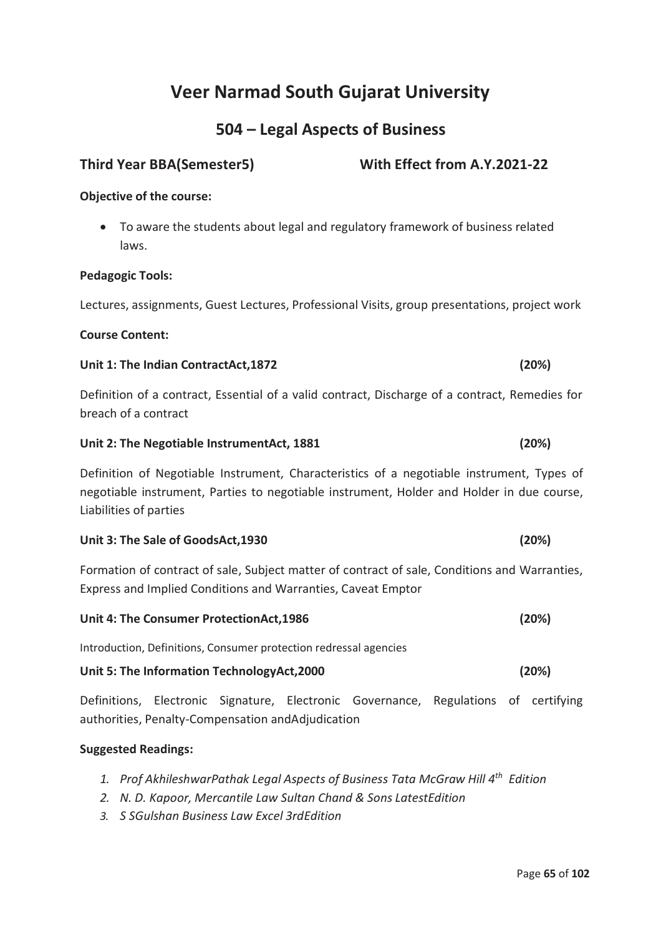# **504 – Legal Aspects of Business**

# **Third Year BBA(Semester5) With Effect from A.Y.2021-22**

## **Objective of the course:**

· To aware the students about legal and regulatory framework of business related laws.

### **Pedagogic Tools:**

Lectures, assignments, Guest Lectures, Professional Visits, group presentations, project work

### **Course Content:**

### **Unit 1: The Indian ContractAct,1872 (20%)**

Definition of a contract, Essential of a valid contract, Discharge of a contract, Remedies for breach of a contract

### **Unit 2: The Negotiable InstrumentAct, 1881 (20%)**

Definition of Negotiable Instrument, Characteristics of a negotiable instrument, Types of negotiable instrument, Parties to negotiable instrument, Holder and Holder in due course, Liabilities of parties

### **Unit 3: The Sale of GoodsAct,1930 (20%)**

Formation of contract of sale, Subject matter of contract of sale, Conditions and Warranties, Express and Implied Conditions and Warranties, Caveat Emptor

| (20%) |
|-------|
|       |

Introduction, Definitions, Consumer protection redressal agencies

### **Unit 5: The Information TechnologyAct,2000 (20%)**

Definitions, Electronic Signature, Electronic Governance, Regulations of certifying authorities, Penalty-Compensation andAdjudication

- *1. Prof AkhileshwarPathak Legal Aspects of Business Tata McGraw Hill 4th Edition*
- *2. N. D. Kapoor, Mercantile Law Sultan Chand & Sons LatestEdition*
- *3. S SGulshan Business Law Excel 3rdEdition*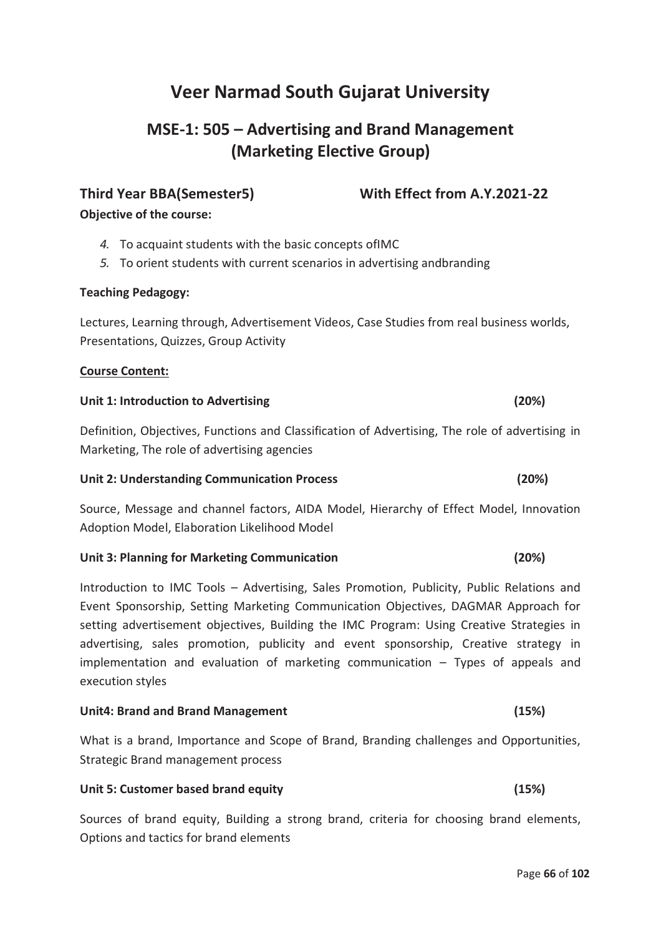# **MSE-1: 505 – Advertising and Brand Management (Marketing Elective Group)**

# **Third Year BBA(Semester5) With Effect from A.Y.2021-22**

**Objective of the course:** 

- *4.* To acquaint students with the basic concepts ofIMC
- *5.* To orient students with current scenarios in advertising andbranding

# **Teaching Pedagogy:**

Lectures, Learning through, Advertisement Videos, Case Studies from real business worlds, Presentations, Quizzes, Group Activity

# **Course Content:**

### **Unit 1: Introduction to Advertising (20%)**

Definition, Objectives, Functions and Classification of Advertising, The role of advertising in Marketing, The role of advertising agencies

## **Unit 2: Understanding Communication Process (20%)**

Source, Message and channel factors, AIDA Model, Hierarchy of Effect Model, Innovation Adoption Model, Elaboration Likelihood Model

## **Unit 3: Planning for Marketing Communication (20%)**

Introduction to IMC Tools – Advertising, Sales Promotion, Publicity, Public Relations and Event Sponsorship, Setting Marketing Communication Objectives, DAGMAR Approach for setting advertisement objectives, Building the IMC Program: Using Creative Strategies in advertising, sales promotion, publicity and event sponsorship, Creative strategy in implementation and evaluation of marketing communication – Types of appeals and execution styles

## **Unit4: Brand and Brand Management (15%)**

What is a brand, Importance and Scope of Brand, Branding challenges and Opportunities, Strategic Brand management process

## **Unit 5: Customer based brand equity (15%)**

Sources of brand equity, Building a strong brand, criteria for choosing brand elements, Options and tactics for brand elements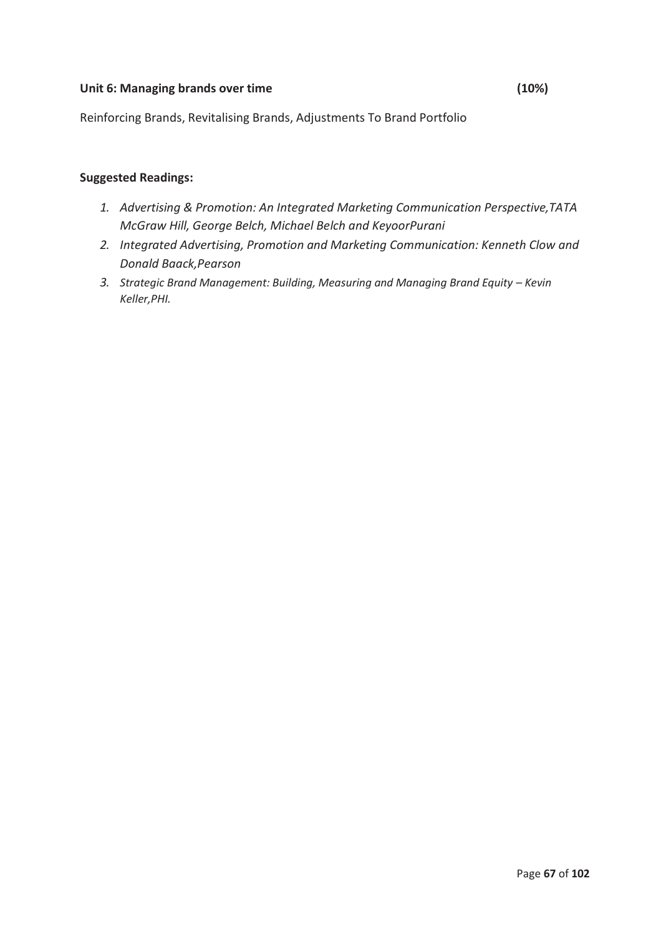## Unit 6: Managing brands over time (10%)

Reinforcing Brands, Revitalising Brands, Adjustments To Brand Portfolio

- *1. Advertising & Promotion: An Integrated Marketing Communication Perspective,TATA McGraw Hill, George Belch, Michael Belch and KeyoorPurani*
- *2. Integrated Advertising, Promotion and Marketing Communication: Kenneth Clow and Donald Baack,Pearson*
- 3. Strategic Brand Management: Building, Measuring and Managing Brand Equity Kevin *Keller,PHI.*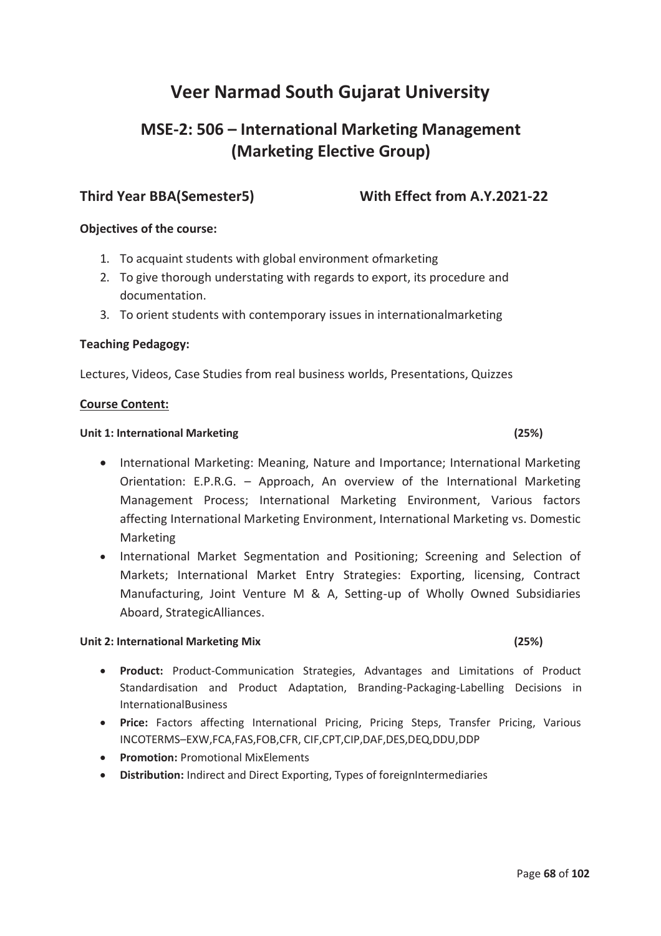# **MSE-2: 506 – International Marketing Management (Marketing Elective Group)**

# **Third Year BBA(Semester5) With Effect from A.Y.2021-22**

## **Objectives of the course:**

- 1. To acquaint students with global environment ofmarketing
- 2. To give thorough understating with regards to export, its procedure and documentation.
- 3. To orient students with contemporary issues in internationalmarketing

### **Teaching Pedagogy:**

Lectures, Videos, Case Studies from real business worlds, Presentations, Quizzes

### **Course Content:**

### **Unit 1: International Marketing (25%)**

- · International Marketing: Meaning, Nature and Importance; International Marketing Orientation: E.P.R.G. – Approach, An overview of the International Marketing Management Process; International Marketing Environment, Various factors affecting International Marketing Environment, International Marketing vs. Domestic Marketing
- · International Market Segmentation and Positioning; Screening and Selection of Markets; International Market Entry Strategies: Exporting, licensing, Contract Manufacturing, Joint Venture M & A, Setting-up of Wholly Owned Subsidiaries Aboard, StrategicAlliances.

### **Unit 2: International Marketing Mix (25%)**

- · **Product:** Product-Communication Strategies, Advantages and Limitations of Product Standardisation and Product Adaptation, Branding-Packaging-Labelling Decisions in InternationalBusiness
- · **Price:** Factors affecting International Pricing, Pricing Steps, Transfer Pricing, Various INCOTERMS–EXW,FCA,FAS,FOB,CFR, CIF,CPT,CIP,DAF,DES,DEQ,DDU,DDP
- · **Promotion:** Promotional MixElements
- · **Distribution:** Indirect and Direct Exporting, Types of foreignIntermediaries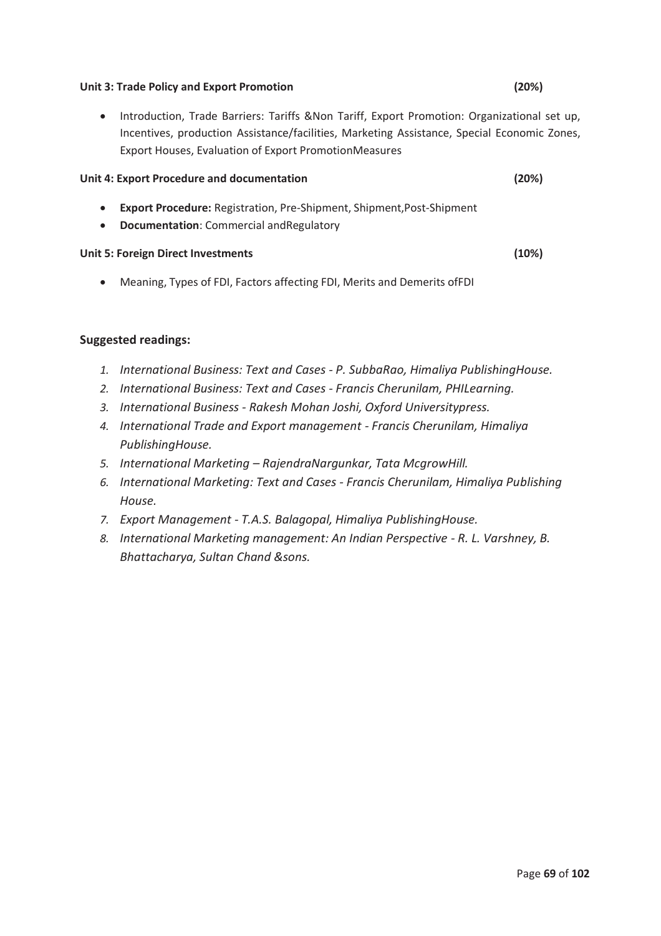#### **Unit 3: Trade Policy and Export Promotion (20%)**

· Introduction, Trade Barriers: Tariffs &Non Tariff, Export Promotion: Organizational set up, Incentives, production Assistance/facilities, Marketing Assistance, Special Economic Zones, Export Houses, Evaluation of Export PromotionMeasures

#### **Unit 4: Export Procedure and documentation (20%)**

- · **Export Procedure:** Registration, Pre-Shipment, Shipment,Post-Shipment
- · **Documentation**: Commercial andRegulatory

#### **Unit 5: Foreign Direct Investments (10%)**

· Meaning, Types of FDI, Factors affecting FDI, Merits and Demerits ofFDI

- *1. International Business: Text and Cases P. SubbaRao, Himaliya PublishingHouse.*
- *2. International Business: Text and Cases Francis Cherunilam, PHILearning.*
- *3. International Business Rakesh Mohan Joshi, Oxford Universitypress.*
- *4. International Trade and Export management Francis Cherunilam, Himaliya PublishingHouse.*
- *5. International Marketing – RajendraNargunkar, Tata McgrowHill.*
- *6. International Marketing: Text and Cases Francis Cherunilam, Himaliya Publishing House.*
- *7. Export Management T.A.S. Balagopal, Himaliya PublishingHouse.*
- *8. International Marketing management: An Indian Perspective R. L. Varshney, B. Bhattacharya, Sultan Chand &sons.*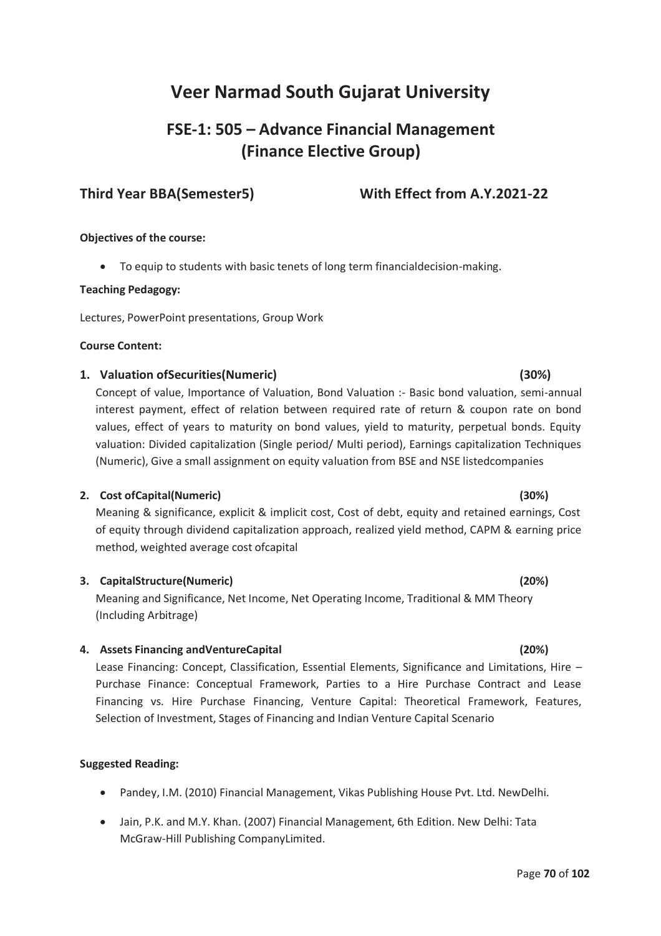# **FSE-1: 505 – Advance Financial Management (Finance Elective Group)**

# **Third Year BBA(Semester5) With Effect from A.Y.2021-22**

### **Objectives of the course:**

· To equip to students with basic tenets of long term financialdecision-making.

#### **Teaching Pedagogy:**

Lectures, PowerPoint presentations, Group Work

#### **Course Content:**

### **1. Valuation ofSecurities(Numeric) (30%)**

Concept of value, Importance of Valuation, Bond Valuation :- Basic bond valuation, semi-annual interest payment, effect of relation between required rate of return & coupon rate on bond values, effect of years to maturity on bond values, yield to maturity, perpetual bonds. Equity valuation: Divided capitalization (Single period/ Multi period), Earnings capitalization Techniques (Numeric), Give a small assignment on equity valuation from BSE and NSE listedcompanies

### **2. Cost ofCapital(Numeric) (30%)**

Meaning & significance, explicit & implicit cost, Cost of debt, equity and retained earnings, Cost of equity through dividend capitalization approach, realized yield method, CAPM & earning price method, weighted average cost ofcapital

### **3. CapitalStructure(Numeric) (20%)**

Meaning and Significance, Net Income, Net Operating Income, Traditional & MM Theory (Including Arbitrage)

### **4. Assets Financing andVentureCapital (20%)**

Lease Financing: Concept, Classification, Essential Elements, Significance and Limitations, Hire – Purchase Finance: Conceptual Framework, Parties to a Hire Purchase Contract and Lease Financing vs. Hire Purchase Financing, Venture Capital: Theoretical Framework, Features, Selection of Investment, Stages of Financing and Indian Venture Capital Scenario

### **Suggested Reading:**

- · Pandey, I.M. (2010) Financial Management, Vikas Publishing House Pvt. Ltd. NewDelhi.
- · Jain, P.K. and M.Y. Khan. (2007) Financial Management, 6th Edition. New Delhi: Tata McGraw-Hill Publishing CompanyLimited.

#### Page **70** of **102**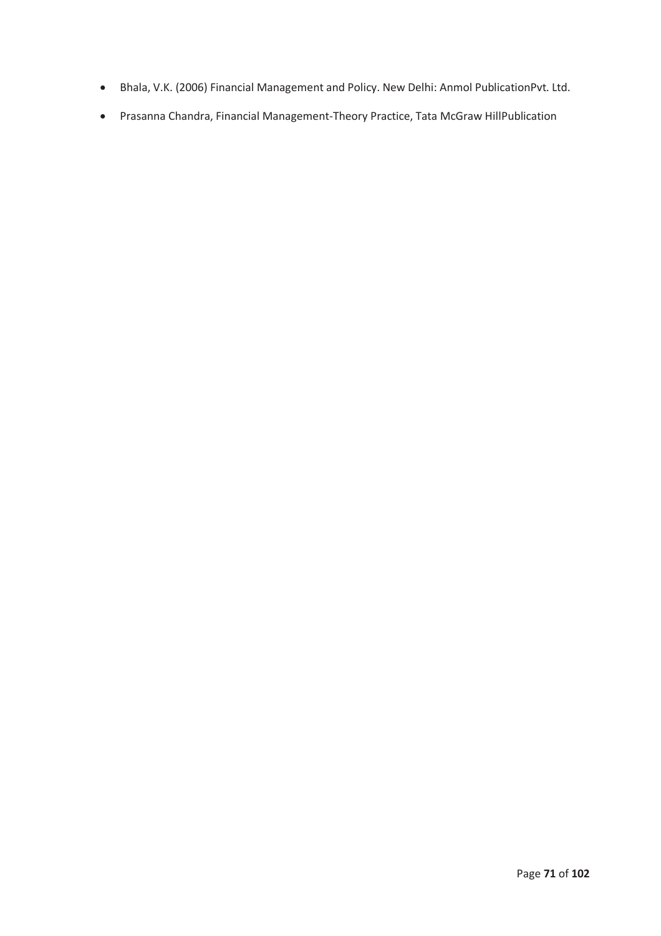- · Bhala, V.K. (2006) Financial Management and Policy. New Delhi: Anmol PublicationPvt. Ltd.
- · Prasanna Chandra, Financial Management-Theory Practice, Tata McGraw HillPublication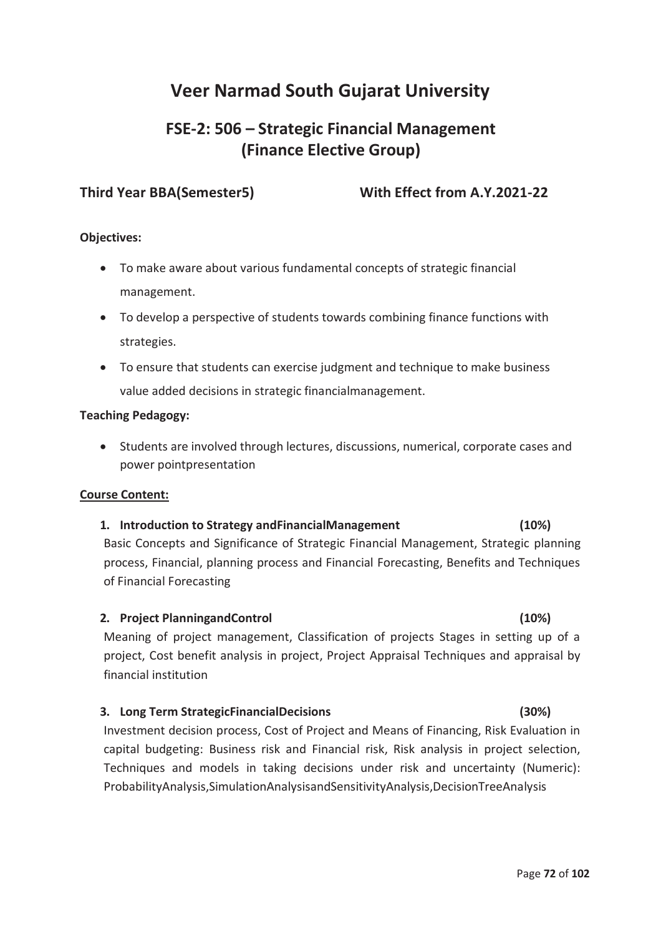# **FSE-2: 506 – Strategic Financial Management (Finance Elective Group)**

**Third Year BBA(Semester5) With Effect from A.Y.2021-22** 

# **Objectives:**

- · To make aware about various fundamental concepts of strategic financial management.
- · To develop a perspective of students towards combining finance functions with strategies.
- · To ensure that students can exercise judgment and technique to make business value added decisions in strategic financialmanagement.

### **Teaching Pedagogy:**

· Students are involved through lectures, discussions, numerical, corporate cases and power pointpresentation

## **Course Content:**

# **1. Introduction to Strategy andFinancialManagement (10%)**

Basic Concepts and Significance of Strategic Financial Management, Strategic planning process, Financial, planning process and Financial Forecasting, Benefits and Techniques of Financial Forecasting

### **2. Project PlanningandControl (10%)**

Meaning of project management, Classification of projects Stages in setting up of a project, Cost benefit analysis in project, Project Appraisal Techniques and appraisal by financial institution

## **3. Long Term StrategicFinancialDecisions (30%)**

Investment decision process, Cost of Project and Means of Financing, Risk Evaluation in capital budgeting: Business risk and Financial risk, Risk analysis in project selection, Techniques and models in taking decisions under risk and uncertainty (Numeric): ProbabilityAnalysis,SimulationAnalysisandSensitivityAnalysis,DecisionTreeAnalysis

#### Page **72** of **102**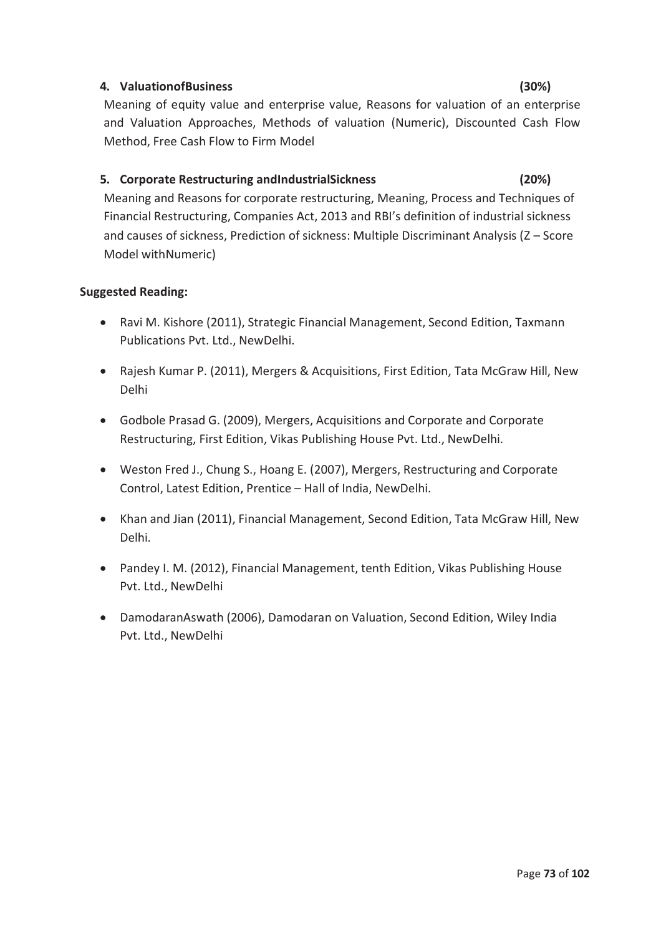# **4. ValuationofBusiness (30%)**

Meaning of equity value and enterprise value, Reasons for valuation of an enterprise and Valuation Approaches, Methods of valuation (Numeric), Discounted Cash Flow Method, Free Cash Flow to Firm Model

# **5. Corporate Restructuring andIndustrialSickness (20%)**

Meaning and Reasons for corporate restructuring, Meaning, Process and Techniques of Financial Restructuring, Companies Act, 2013 and RBI's definition of industrial sickness and causes of sickness, Prediction of sickness: Multiple Discriminant Analysis (Z – Score Model withNumeric)

- · Ravi M. Kishore (2011), Strategic Financial Management, Second Edition, Taxmann Publications Pvt. Ltd., NewDelhi.
- · Rajesh Kumar P. (2011), Mergers & Acquisitions, First Edition, Tata McGraw Hill, New Delhi
- · Godbole Prasad G. (2009), Mergers, Acquisitions and Corporate and Corporate Restructuring, First Edition, Vikas Publishing House Pvt. Ltd., NewDelhi.
- · Weston Fred J., Chung S., Hoang E. (2007), Mergers, Restructuring and Corporate Control, Latest Edition, Prentice – Hall of India, NewDelhi.
- · Khan and Jian (2011), Financial Management, Second Edition, Tata McGraw Hill, New Delhi.
- · Pandey I. M. (2012), Financial Management, tenth Edition, Vikas Publishing House Pvt. Ltd., NewDelhi
- · DamodaranAswath (2006), Damodaran on Valuation, Second Edition, Wiley India Pvt. Ltd., NewDelhi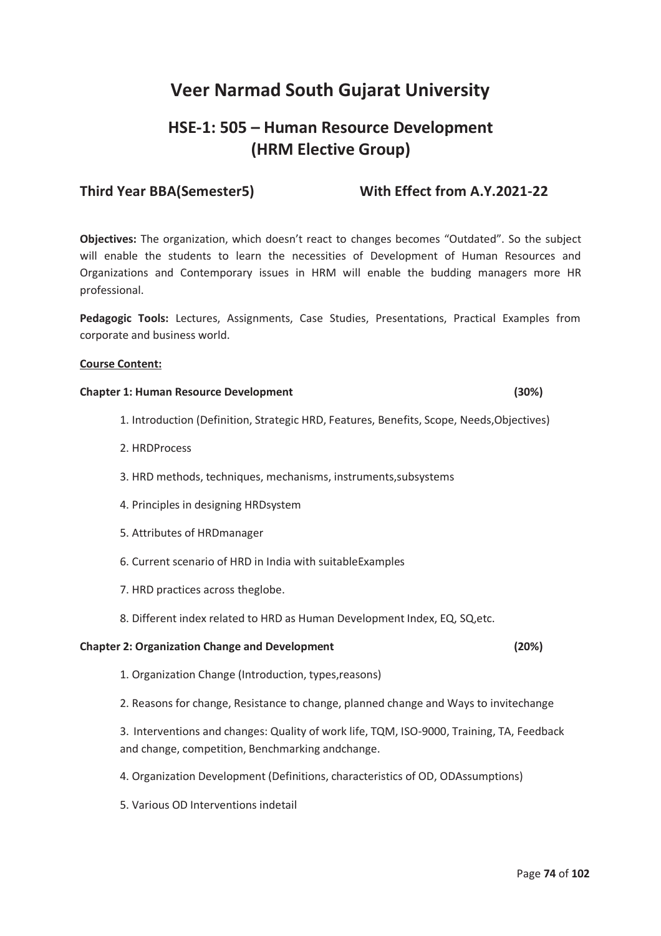# **HSE-1: 505 – Human Resource Development (HRM Elective Group)**

# **Third Year BBA(Semester5) With Effect from A.Y.2021-22**

**Objectives:** The organization, which doesn't react to changes becomes "Outdated". So the subject will enable the students to learn the necessities of Development of Human Resources and Organizations and Contemporary issues in HRM will enable the budding managers more HR professional.

**Pedagogic Tools:** Lectures, Assignments, Case Studies, Presentations, Practical Examples from corporate and business world.

### **Course Content:**

#### **Chapter 1: Human Resource Development (30%)**

- 1. Introduction (Definition, Strategic HRD, Features, Benefits, Scope, Needs,Objectives)
- 2. HRDProcess
- 3. HRD methods, techniques, mechanisms, instruments,subsystems
- 4. Principles in designing HRDsystem
- 5. Attributes of HRDmanager
- 6. Current scenario of HRD in India with suitableExamples
- 7. HRD practices across theglobe.
- 8. Different index related to HRD as Human Development Index, EQ, SQ,etc.

#### **Chapter 2: Organization Change and Development (20%)**

- 1. Organization Change (Introduction, types,reasons)
- 2. Reasons for change, Resistance to change, planned change and Ways to invitechange

3. Interventions and changes: Quality of work life, TQM, ISO-9000, Training, TA, Feedback and change, competition, Benchmarking andchange.

- 4. Organization Development (Definitions, characteristics of OD, ODAssumptions)
- 5. Various OD Interventions indetail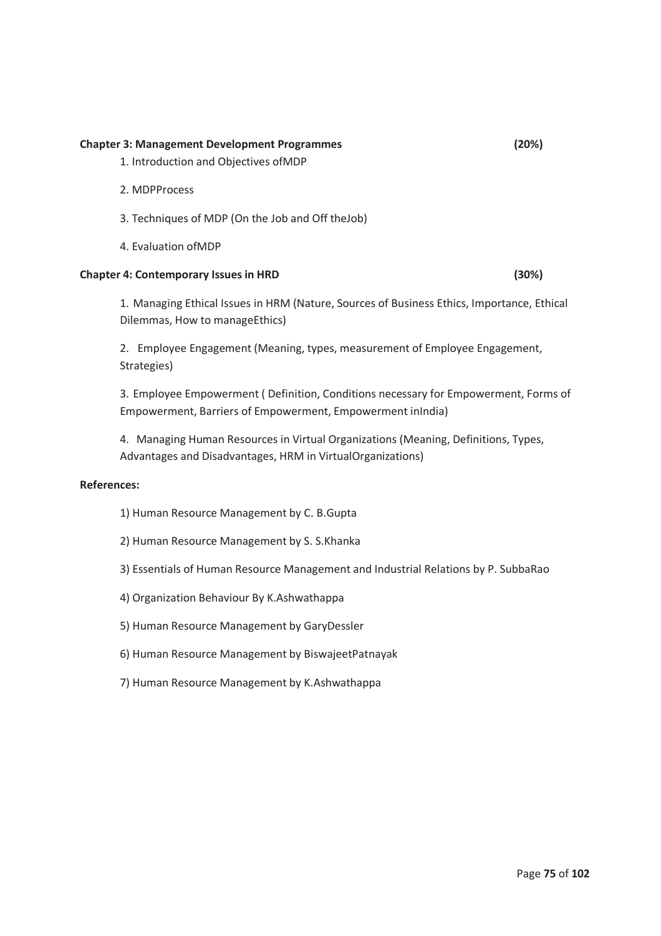#### **Chapter 3: Management Development Programmes (20%)**

- 1. Introduction and Objectives ofMDP
- 2. MDPProcess
- 3. Techniques of MDP (On the Job and Off theJob)
- 4. Evaluation ofMDP

#### **Chapter 4: Contemporary Issues in HRD (30%)**

1. Managing Ethical Issues in HRM (Nature, Sources of Business Ethics, Importance, Ethical Dilemmas, How to manageEthics)

2. Employee Engagement (Meaning, types, measurement of Employee Engagement, Strategies)

3. Employee Empowerment ( Definition, Conditions necessary for Empowerment, Forms of Empowerment, Barriers of Empowerment, Empowerment inIndia)

4. Managing Human Resources in Virtual Organizations (Meaning, Definitions, Types, Advantages and Disadvantages, HRM in VirtualOrganizations)

### **References:**

- 1) Human Resource Management by C. B.Gupta
- 2) Human Resource Management by S. S.Khanka
- 3) Essentials of Human Resource Management and Industrial Relations by P. SubbaRao
- 4) Organization Behaviour By K.Ashwathappa
- 5) Human Resource Management by GaryDessler
- 6) Human Resource Management by BiswajeetPatnayak
- 7) Human Resource Management by K.Ashwathappa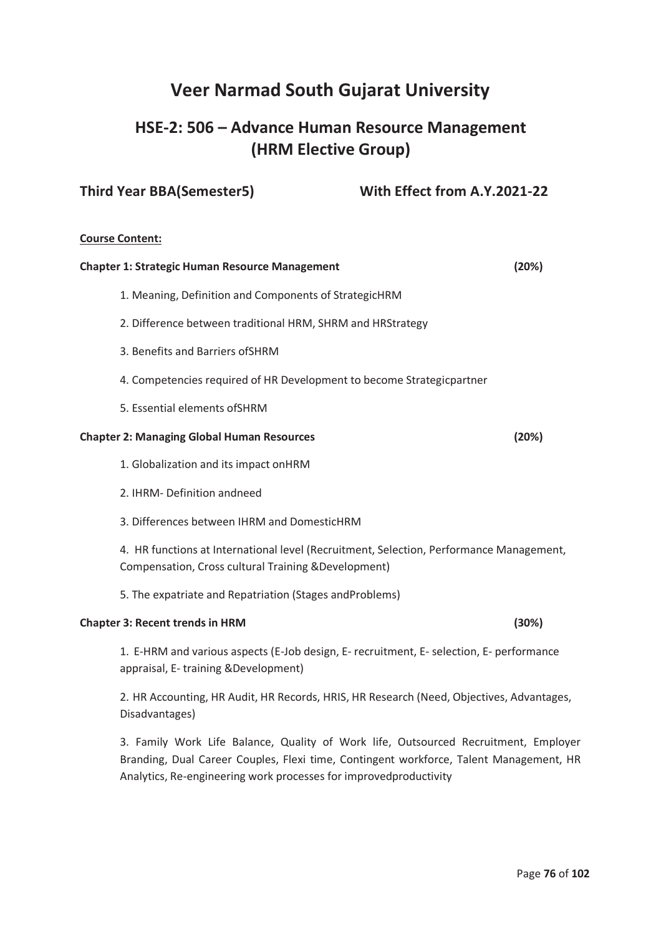# **HSE-2: 506 – Advance Human Resource Management (HRM Elective Group)**

# **Third Year BBA(Semester5) With Effect from A.Y.2021-22**

#### **Course Content:**

| <b>Chapter 1: Strategic Human Resource Management</b>                                                                                           | (20%) |
|-------------------------------------------------------------------------------------------------------------------------------------------------|-------|
| 1. Meaning, Definition and Components of StrategicHRM                                                                                           |       |
| 2. Difference between traditional HRM, SHRM and HRStrategy                                                                                      |       |
| 3. Benefits and Barriers of SHRM                                                                                                                |       |
| 4. Competencies required of HR Development to become Strategicpartner                                                                           |       |
| 5. Essential elements of SHRM                                                                                                                   |       |
| <b>Chapter 2: Managing Global Human Resources</b>                                                                                               | (20%) |
| 1. Globalization and its impact onHRM                                                                                                           |       |
| 2. IHRM-Definition andneed                                                                                                                      |       |
| 3. Differences between IHRM and DomesticHRM                                                                                                     |       |
| 4. HR functions at International level (Recruitment, Selection, Performance Management,<br>Compensation, Cross cultural Training & Development) |       |
| 5. The expatriate and Repatriation (Stages andProblems)                                                                                         |       |
| <b>Chapter 3: Recent trends in HRM</b>                                                                                                          | (30%) |

1. E-HRM and various aspects (E-Job design, E- recruitment, E- selection, E- performance appraisal, E- training &Development)

2. HR Accounting, HR Audit, HR Records, HRIS, HR Research (Need, Objectives, Advantages, Disadvantages)

3. Family Work Life Balance, Quality of Work life, Outsourced Recruitment, Employer Branding, Dual Career Couples, Flexi time, Contingent workforce, Talent Management, HR Analytics, Re-engineering work processes for improvedproductivity